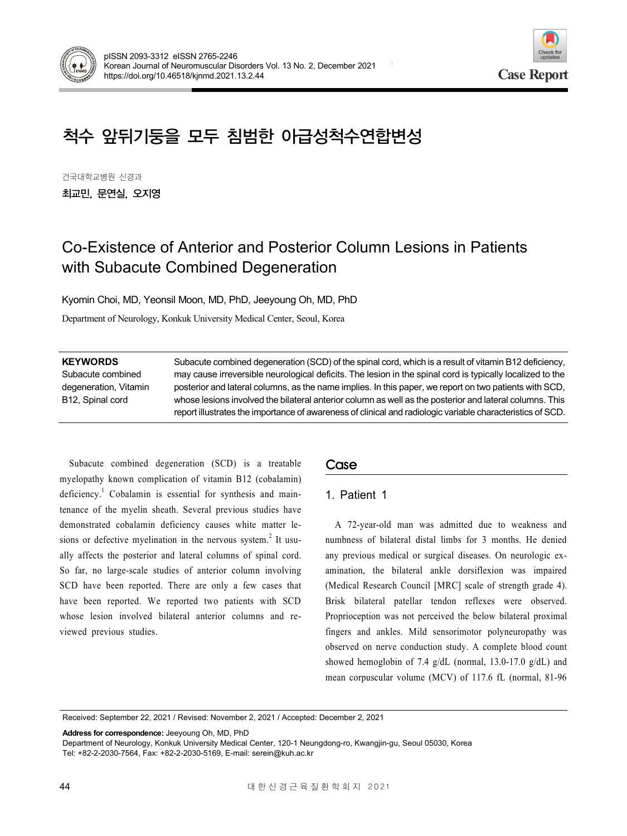



# 척수 앞뒤기둥을 모두 침범한 아급성척수연합변성

건국대학교병원 신경과 최교민, 문연실, 오지영

# Co-Existence of Anterior and Posterior Column Lesions in Patients with Subacute Combined Degeneration

Kyomin Choi, MD, Yeonsil Moon, MD, PhD, Jeeyoung Oh, MD, PhD

Department of Neurology, Konkuk University Medical Center, Seoul, Korea

| <b>KEYWORDS</b>       | Subacute combined degeneration (SCD) of the spinal cord, which is a result of vitamin B12 deficiency,      |
|-----------------------|------------------------------------------------------------------------------------------------------------|
| Subacute combined     | may cause irreversible neurological deficits. The lesion in the spinal cord is typically localized to the  |
| degeneration, Vitamin | posterior and lateral columns, as the name implies. In this paper, we report on two patients with SCD,     |
| B12, Spinal cord      | whose lesions involved the bilateral anterior column as well as the posterior and lateral columns. This    |
|                       | report illustrates the importance of awareness of clinical and radiologic variable characteristics of SCD. |

Subacute combined degeneration (SCD) is a treatable myelopathy known complication of vitamin B12 (cobalamin) deficiency.<sup>1</sup> Cobalamin is essential for synthesis and maintenance of the myelin sheath. Several previous studies have demonstrated cobalamin deficiency causes white matter lesions or defective myelination in the nervous system.<sup>2</sup> It usually affects the posterior and lateral columns of spinal cord. So far, no large-scale studies of anterior column involving SCD have been reported. There are only a few cases that have been reported. We reported two patients with SCD whose lesion involved bilateral anterior columns and reviewed previous studies.

## Case

## 1. Patient 1

A 72-year-old man was admitted due to weakness and numbness of bilateral distal limbs for 3 months. He denied any previous medical or surgical diseases. On neurologic examination, the bilateral ankle dorsiflexion was impaired (Medical Research Council [MRC] scale of strength grade 4). Brisk bilateral patellar tendon reflexes were observed. Proprioception was not perceived the below bilateral proximal fingers and ankles. Mild sensorimotor polyneuropathy was observed on nerve conduction study. A complete blood count showed hemoglobin of 7.4 g/dL (normal, 13.0-17.0 g/dL) and mean corpuscular volume (MCV) of 117.6 fL (normal, 81-96

Received: September 22, 2021 / Revised: November 2, 2021 / Accepted: December 2, 2021

**Address for correspondence:** Jeeyoung Oh, MD, PhD

Department of Neurology, Konkuk University Medical Center, 120-1 Neungdong-ro, Kwangjin-gu, Seoul 05030, Korea Tel: +82-2-2030-7564, Fax: +82-2-2030-5169, E-mail: serein@kuh.ac.kr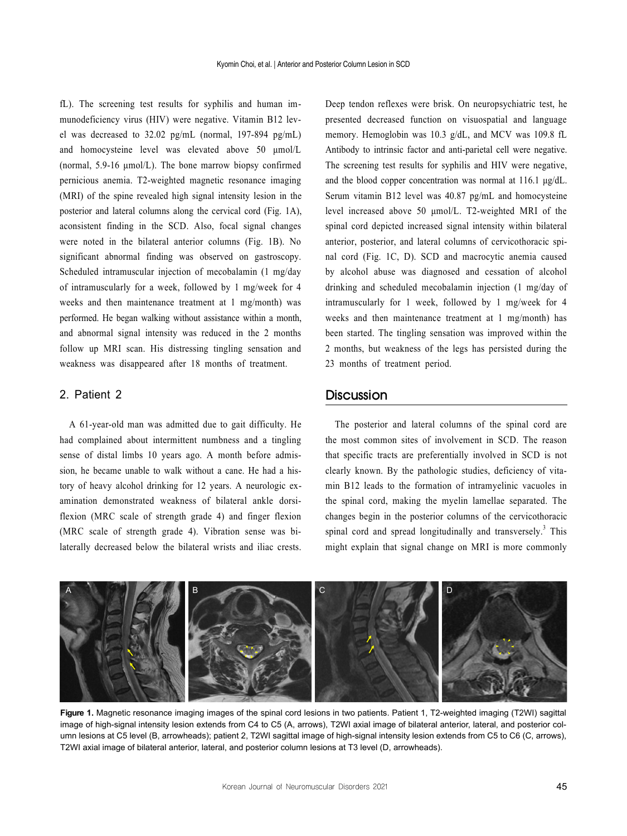fL). The screening test results for syphilis and human immunodeficiency virus (HIV) were negative. Vitamin B12 level was decreased to 32.02 pg/mL (normal, 197-894 pg/mL) and homocysteine level was elevated above 50 μmol/L (normal, 5.9-16 μmol/L). The bone marrow biopsy confirmed pernicious anemia. T2-weighted magnetic resonance imaging (MRI) of the spine revealed high signal intensity lesion in the posterior and lateral columns along the cervical cord (Fig. 1A), aconsistent finding in the SCD. Also, focal signal changes were noted in the bilateral anterior columns (Fig. 1B). No significant abnormal finding was observed on gastroscopy. Scheduled intramuscular injection of mecobalamin (1 mg/day of intramuscularly for a week, followed by 1 mg/week for 4 weeks and then maintenance treatment at 1 mg/month) was performed. He began walking without assistance within a month, and abnormal signal intensity was reduced in the 2 months follow up MRI scan. His distressing tingling sensation and weakness was disappeared after 18 months of treatment.

#### 2. Patient 2

A 61-year-old man was admitted due to gait difficulty. He had complained about intermittent numbness and a tingling sense of distal limbs 10 years ago. A month before admission, he became unable to walk without a cane. He had a history of heavy alcohol drinking for 12 years. A neurologic examination demonstrated weakness of bilateral ankle dorsiflexion (MRC scale of strength grade 4) and finger flexion (MRC scale of strength grade 4). Vibration sense was bilaterally decreased below the bilateral wrists and iliac crests. Deep tendon reflexes were brisk. On neuropsychiatric test, he presented decreased function on visuospatial and language memory. Hemoglobin was 10.3 g/dL, and MCV was 109.8 fL Antibody to intrinsic factor and anti-parietal cell were negative. The screening test results for syphilis and HIV were negative, and the blood copper concentration was normal at 116.1 μg/dL. Serum vitamin B12 level was 40.87 pg/mL and homocysteine level increased above 50 μmol/L. T2-weighted MRI of the spinal cord depicted increased signal intensity within bilateral anterior, posterior, and lateral columns of cervicothoracic spinal cord (Fig. 1C, D). SCD and macrocytic anemia caused by alcohol abuse was diagnosed and cessation of alcohol drinking and scheduled mecobalamin injection (1 mg/day of intramuscularly for 1 week, followed by 1 mg/week for 4 weeks and then maintenance treatment at 1 mg/month) has been started. The tingling sensation was improved within the 2 months, but weakness of the legs has persisted during the 23 months of treatment period.

#### **Discussion**

The posterior and lateral columns of the spinal cord are the most common sites of involvement in SCD. The reason that specific tracts are preferentially involved in SCD is not clearly known. By the pathologic studies, deficiency of vitamin B12 leads to the formation of intramyelinic vacuoles in the spinal cord, making the myelin lamellae separated. The changes begin in the posterior columns of the cervicothoracic spinal cord and spread longitudinally and transversely.<sup>3</sup> This might explain that signal change on MRI is more commonly



Figure 1. Magnetic resonance imaging images of the spinal cord lesions in two patients. Patient 1, T2-weighted imaging (T2WI) sagittal image of high-signal intensity lesion extends from C4 to C5 (A, arrows), T2WI axial image of bilateral anterior, lateral, and posterior column lesions at C5 level (B, arrowheads); patient 2, T2WI sagittal image of high-signal intensity lesion extends from C5 to C6 (C, arrows), T2WI axial image of bilateral anterior, lateral, and posterior column lesions at T3 level (D, arrowheads).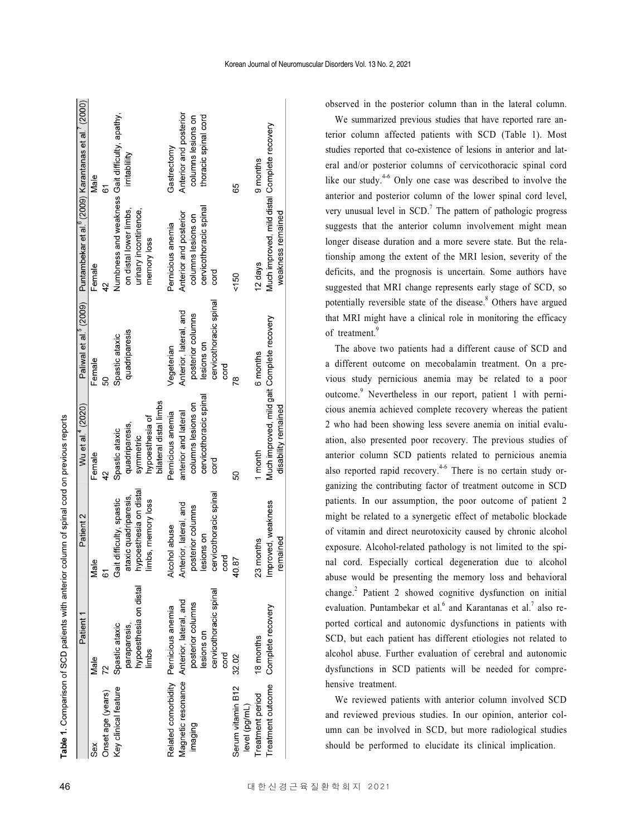|                                   | Patient <sup>-</sup>                      | Patient 2                | Wu et al." (2020)                          |                        | Paliwal et al. ? (2009) Puntambekar et al. º (2009) Karantanas et al. ' (2000 |                        |
|-----------------------------------|-------------------------------------------|--------------------------|--------------------------------------------|------------------------|-------------------------------------------------------------------------------|------------------------|
| ě                                 | Male                                      | Male                     | Female                                     | Female                 | Female                                                                        | Male                   |
| nset age (years)                  |                                           | 67                       | 42                                         | 8                      | 42                                                                            | 61                     |
| ey clinical feature               | Spastic ataxic                            | Gait difficulty, spastic | Spastic ataxic                             | Spastic ataxic         | Numbness and weakness Gait difficulty, apathy,                                |                        |
|                                   | paraparesis,                              | ataxic quadriparesis,    | quadriparesis,                             | quadriparesis          | on distal lower limbs,                                                        | irritability           |
|                                   | hypoesthesia on distal                    | hypoesthesia on distal   | symmetric                                  |                        | urinary incontinence,                                                         |                        |
|                                   | limbs                                     | limbs, memory loss       | bilateral distal limbs<br>hypoesthesia of  |                        | memory loss                                                                   |                        |
| Related comorbidity               | Pernicious anemia                         | Alcohol abuse            | Pernicious anemia                          | Vegeterian             | Pernicious anemia                                                             | Gastrectomy            |
|                                   | lagnetic resonance Anterior, lateral, and | Anterior, lateral, and   | anterior and lateral                       | Anterior, lateral, and | Anterior and posterior                                                        | Anterior and posterior |
| imaging                           | posterior columns                         | posterior columns        | columns lesions on                         | posterior columns      | columns lesions on                                                            | columns lesions on     |
|                                   | lesions on                                | lesions on               | cervicothoracic spinal                     | lesions on             | cervicothoracic spinal                                                        | thoracic spinal cord   |
|                                   | cervicothoracic spinal                    | cervicothoracic spinal   | cord                                       | cervicothoracic spinal | cord                                                                          |                        |
|                                   | cord                                      | cord                     |                                            | cord                   |                                                                               |                        |
| erum vitamin B12<br>level (pg/mL) | 32.02                                     | 40.87                    | SO                                         | Ŗ8                     | 150                                                                           | 65                     |
| reatment period                   | 18 months                                 | 23 months                | month                                      | 6 months               | 12 days                                                                       | 9 months               |
| reatment outcome                  | Complete recovery                         | Improved, weakness       | Much improved, mild gait Complete recovery |                        | Much improved, mild distal Complete recovery                                  |                        |
|                                   |                                           | remained                 | disability remained                        |                        | weakness remained                                                             |                        |
|                                   |                                           |                          |                                            |                        |                                                                               |                        |

able 1. Comparison of SCD patients with anterior column of spinal cord on previous reports

 $\sim$ 

observed in the posterior column than in the lateral column.

We summarized previous studies that have reported rare anterior column affected patients with SCD (Table 1). Most studies reported that co-existence of lesions in anterior and lateral and/or posterior columns of cervicothoracic spinal cord like our study.<sup>4-6</sup> Only one case was described to involve the anterior and posterior column of the lower spinal cord level, very unusual level in  $SCD$ .<sup>7</sup> The pattern of pathologic progress suggests that the anterior column involvement might mean longer disease duration and a more severe state. But the relationship among the extent of the MRI lesion, severity of the deficits, and the prognosis is uncertain. Some authors have suggested that MRI change represents early stage of SCD, so potentially reversible state of the disease.<sup>8</sup> Others have argued that MRI might have a clinical role in monitoring the efficacy of treatment.<sup>9</sup>

The above two patients had a different cause of SCD and a different outcome on mecobalamin treatment. On a previous study pernicious anemia may be related to a poor outcome.<sup>9</sup> Nevertheless in our report, patient 1 with pernicious anemia achieved complete recovery whereas the patient 2 who had been showing less severe anemia on initial evaluation, also presented poor recovery. The previous studies of anterior column SCD patients related to pernicious anemia also reported rapid recovery.<sup>4-6</sup> There is no certain study organizing the contributing factor of treatment outcome in SCD patients. In our assumption, the poor outcome of patient 2 might be related to a synergetic effect of metabolic blockade of vitamin and direct neurotoxicity caused by chronic alcohol exposure. Alcohol-related pathology is not limited to the spinal cord. Especially cortical degeneration due to alcohol abuse would be presenting the memory loss and behavioral change.<sup>2</sup> Patient 2 showed cognitive dysfunction on initial evaluation. Puntambekar et al. $<sup>6</sup>$  and Karantanas et al. $<sup>7</sup>$  also re-</sup></sup> ported cortical and autonomic dysfunctions in patients with SCD, but each patient has different etiologies not related to alcohol abuse. Further evaluation of cerebral and autonomic dysfunctions in SCD patients will be needed for comprehensive treatment.

We reviewed patients with anterior column involved SCD and reviewed previous studies. In our opinion, anterior column can be involved in SCD, but more radiological studies should be performed to elucidate its clinical implication.